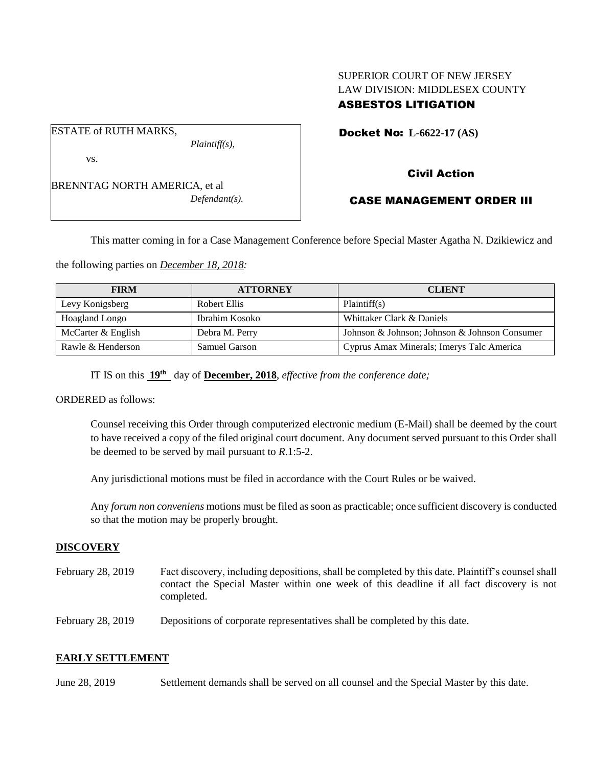# SUPERIOR COURT OF NEW JERSEY LAW DIVISION: MIDDLESEX COUNTY ASBESTOS LITIGATION

ESTATE of RUTH MARKS,

vs.

BRENNTAG NORTH AMERICA, et al *Defendant(s).*

*Plaintiff(s),*

Docket No: **L-6622-17 (AS)** 

# Civil Action

# CASE MANAGEMENT ORDER III

This matter coming in for a Case Management Conference before Special Master Agatha N. Dzikiewicz and

the following parties on *December 18, 2018:*

| <b>FIRM</b>        | <b>ATTORNEY</b>      | <b>CLIENT</b>                                 |
|--------------------|----------------------|-----------------------------------------------|
| Levy Konigsberg    | Robert Ellis         | Plaintiff(s)                                  |
| Hoagland Longo     | Ibrahim Kosoko       | Whittaker Clark & Daniels                     |
| McCarter & English | Debra M. Perry       | Johnson & Johnson; Johnson & Johnson Consumer |
| Rawle & Henderson  | <b>Samuel Garson</b> | Cyprus Amax Minerals; Imerys Talc America     |

IT IS on this  $19^{\text{th}}$  day of **December, 2018**, *effective from the conference date*;

ORDERED as follows:

Counsel receiving this Order through computerized electronic medium (E-Mail) shall be deemed by the court to have received a copy of the filed original court document. Any document served pursuant to this Order shall be deemed to be served by mail pursuant to *R*.1:5-2.

Any jurisdictional motions must be filed in accordance with the Court Rules or be waived.

Any *forum non conveniens* motions must be filed as soon as practicable; once sufficient discovery is conducted so that the motion may be properly brought.

## **DISCOVERY**

- February 28, 2019 Fact discovery, including depositions, shall be completed by this date. Plaintiff's counsel shall contact the Special Master within one week of this deadline if all fact discovery is not completed.
- February 28, 2019 Depositions of corporate representatives shall be completed by this date.

## **EARLY SETTLEMENT**

June 28, 2019 Settlement demands shall be served on all counsel and the Special Master by this date.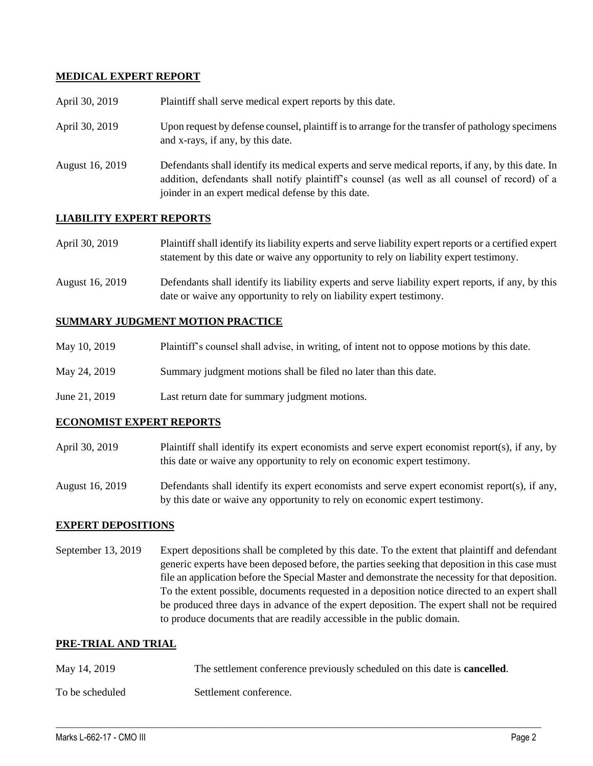## **MEDICAL EXPERT REPORT**

| April 30, 2019  | Plaintiff shall serve medical expert reports by this date.                                                                                                                                                                                               |
|-----------------|----------------------------------------------------------------------------------------------------------------------------------------------------------------------------------------------------------------------------------------------------------|
| April 30, 2019  | Upon request by defense counsel, plaintiff is to arrange for the transfer of pathology specimens<br>and x-rays, if any, by this date.                                                                                                                    |
| August 16, 2019 | Defendants shall identify its medical experts and serve medical reports, if any, by this date. In<br>addition, defendants shall notify plaintiff's counsel (as well as all counsel of record) of a<br>joinder in an expert medical defense by this date. |

## **LIABILITY EXPERT REPORTS**

| April 30, 2019 | Plaintiff shall identify its liability experts and serve liability expert reports or a certified expert |
|----------------|---------------------------------------------------------------------------------------------------------|
|                | statement by this date or waive any opportunity to rely on liability expert testimony.                  |
|                |                                                                                                         |

August 16, 2019 Defendants shall identify its liability experts and serve liability expert reports, if any, by this date or waive any opportunity to rely on liability expert testimony.

### **SUMMARY JUDGMENT MOTION PRACTICE**

| May 10, 2019 | Plaintiff's counsel shall advise, in writing, of intent not to oppose motions by this date. |
|--------------|---------------------------------------------------------------------------------------------|
| May 24, 2019 | Summary judgment motions shall be filed no later than this date.                            |

June 21, 2019 Last return date for summary judgment motions.

### **ECONOMIST EXPERT REPORTS**

April 30, 2019 Plaintiff shall identify its expert economists and serve expert economist report(s), if any, by this date or waive any opportunity to rely on economic expert testimony.

August 16, 2019 Defendants shall identify its expert economists and serve expert economist report(s), if any, by this date or waive any opportunity to rely on economic expert testimony.

### **EXPERT DEPOSITIONS**

September 13, 2019 Expert depositions shall be completed by this date. To the extent that plaintiff and defendant generic experts have been deposed before, the parties seeking that deposition in this case must file an application before the Special Master and demonstrate the necessity for that deposition. To the extent possible, documents requested in a deposition notice directed to an expert shall be produced three days in advance of the expert deposition. The expert shall not be required to produce documents that are readily accessible in the public domain.

### **PRE-TRIAL AND TRIAL**

| May 14, 2019    | The settlement conference previously scheduled on this date is <b>cancelled</b> . |
|-----------------|-----------------------------------------------------------------------------------|
| To be scheduled | Settlement conference.                                                            |

 $\_$  ,  $\_$  ,  $\_$  ,  $\_$  ,  $\_$  ,  $\_$  ,  $\_$  ,  $\_$  ,  $\_$  ,  $\_$  ,  $\_$  ,  $\_$  ,  $\_$  ,  $\_$  ,  $\_$  ,  $\_$  ,  $\_$  ,  $\_$  ,  $\_$  ,  $\_$  ,  $\_$  ,  $\_$  ,  $\_$  ,  $\_$  ,  $\_$  ,  $\_$  ,  $\_$  ,  $\_$  ,  $\_$  ,  $\_$  ,  $\_$  ,  $\_$  ,  $\_$  ,  $\_$  ,  $\_$  ,  $\_$  ,  $\_$  ,